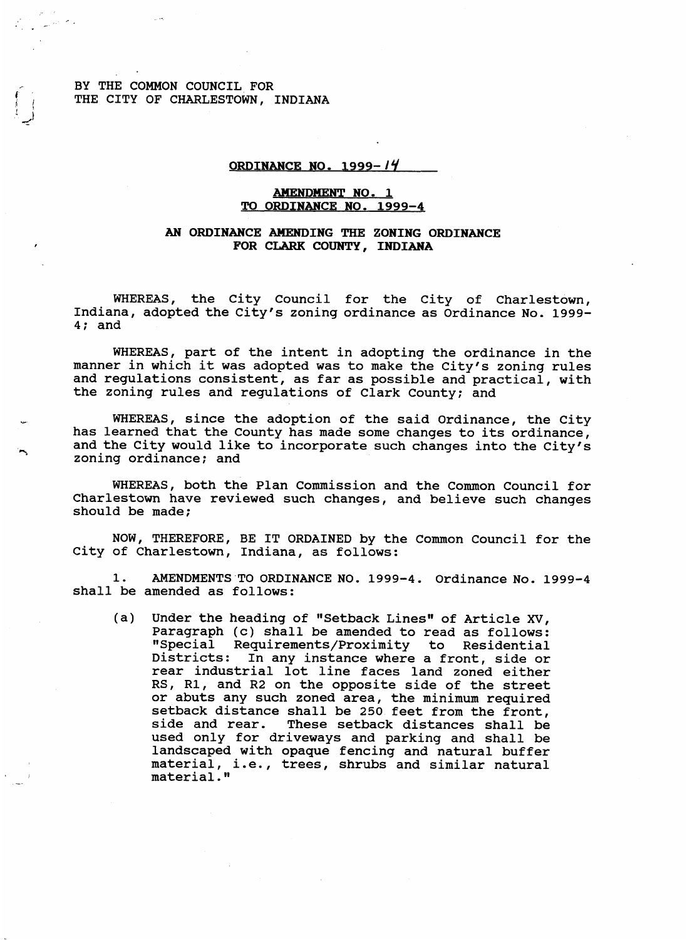BY THE COMMON COUNCIL FOR THE CITY OF CHARLESTOWN, INDIANA

## **ORDINANCE NO. 1999-14**

## AMENDMENT **NO. 1 TO ORDINANCE NO. 1999-4**

## *AN* **ORDINANCE AMENDING THE ZONING ORDINANCE FOR CLARK** *COUNTY,* **INDIANA**

WHEREAS, the City Council for the City of Charlestown, Indiana, adopted the City's zoning ordinance as Ordinance No. 1999- 4; and

WHEREAS, part of the intent in adopting the ordinance in the manner in which it was adopted was to make the City's zoning rules and regulations consistent, as far as possible and practical, with the zoning rules and regulations of Clark County; and

WHEREAS, since the adoption of the said Ordinance, the City has learned that the County has made some changes to its ordinance, and the City would like to incorporate such changes into the City's zoning ordinance; and

WHEREAS, both the Plan Commission and the Common Council for Charlestown have reviewed such changes, and believe such changes should be made;

NOW, THEREFORE, BE IT ORDAINED by the Common Council for the City of Charlestown, Indiana, **as** follows:

shall be amended as follows: 1. AMENDMENTS TO ORDINANCE NO. 1999-4. Ordinance NO. 1999-4

(a) Under the heading of "Setback Lines" of Article *XV,*  Paragraph (c) shall be amended to read as follows: "Special Requirements/Proximity to Residential Districts: In any instance where a front, side or rear industrial lot line faces land zoned either RS, R1, and R2 on the opposite side of the street or abuts any such zoned area, the minimum required setback distance shall be 250 feet from the front, side and rear. These setback distances shall be used only for driveways and parking and shall be landscaped with opaque fencing and natural buffer material, i.e., trees, shrubs and similar natural material.'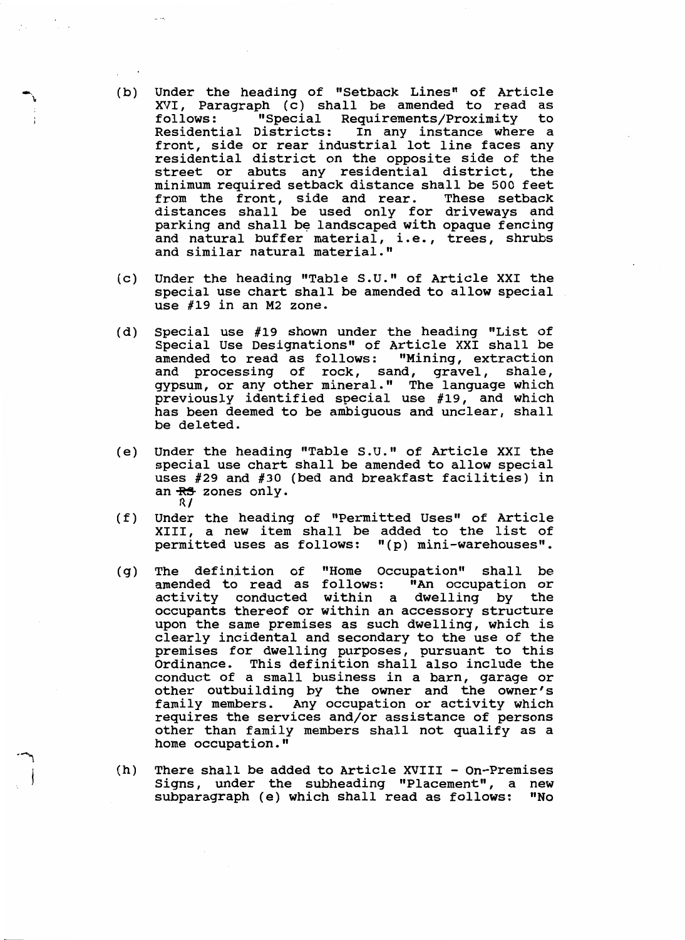- (b) Under the heading of "Setback Lines" of Article XVI, Paragraph (c) shall be amended to read as<br>follows: "Special Requirements/Proximity to Residential Districts: In any instance where a front, side or rear industrial lot line faces any residential district on the opposite side of the street or abuts any residential district, minimum required setback distance shall be 500 feet from the front, side and rear. These setback distances shall be used only for driveways and parking and shall be landscaped with opaque fencing and natural buffer material, i.e., trees, shrubs and similar natural material." "Special Requirements/Proximity to
- (c) Under the heading "Table S.U." of Article XXI the special use chart shall be amended to allow special use **#19** in an **M2** zone.
- (d) Special use **#19** shown under the heading "List of Special Use Designations" of Article XXI shall be amended to read as follows: "Mining, extraction and processing of rock, sand, gravel, shale, gypsum, or any other mineral." The language which previously identified special use **#19,** and which has been deemed to be ambiguous and unclear, shall be deleted.
- (e) Under the heading "Table **S.U."** of Article XXI the special use chart shall be amended to allow special uses **#29** and #30 (bed and breakfast facilities) in an  $\frac{RS}{R}$  zones only.
- (f) Under the heading of "Permitted Uses" of Article XIII, a new item shall be added to the list of permitted uses as follows: "(p) mini-warehouses".
- (g) The definition of "Home Occupation" shall be amended to read as follows: "An occupation or activity conducted within a dwelling by the occupants thereof or within an accessory structure upon the same premises as such dwelling, which is clearly incidental and secondary to the use of the premises for dwelling purposes, pursuant to this Ordinance. This definition shall also include the conduct of a small business in a barn, garage or other outbuilding by the owner and the owner's family members. Any occupation or activity which requires the services and/or assistance of persons other than family members shall not qualify as a home occupation. **"**
- (h) There shall be added to Article XVIII On-Premises Signs, under the subheading "Placement", a new<br>subparagraph (e) which shall read as follows: "No subparagraph (e) which shall read as follows: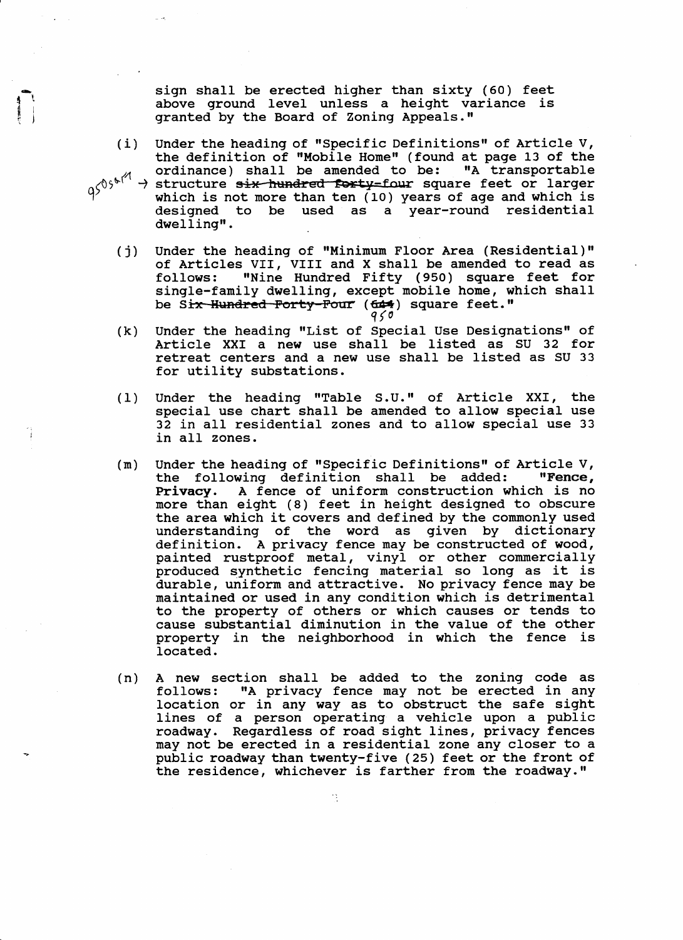sign shall be erected higher than sixty (60) feet above ground level unless a height variance granted by the Board of Zoning Appeals."

- Under the heading of "specific Definitions" of Article V, the definition of "Mobile Home" (found at page **13** of the ordinance) shall be amended to be : "A transportable ordinance) snall be amended to be: "A transportable<br>structure <del>six hundred forty-</del>four square feet or larger which is not more than ten **(10)** years of age and which is designed to be used as a year-round residential<br>dwelling**".** (i)
- **(j)** Under the heading of "Minimum Floor Area (Residential)" of Articles VII, VIII and X shall be amended to read as<br>follows: "Nine Hundred Fifty (950) square feet for "Nine Hundred Fifty (950) square feet for single-family dwelling, except mobile home, which shall be Six Hundred Forty-Four (644) square feet."<br> $q \searrow 0$
- (k) Under the heading "List of Special Use Designations" of Article XXI a new use shall be listed as SU **32** for retreat centers and a new use shall be listed as SU **33**  for utility substations.
- (1) Under the heading "Table S.U." of Article XXI, the special use chart shall be amended to allow special use **32** in all residential zones and to allow special use **33**  in all zones.
- Under the heading of "Specific Definitions" of Article V,<br>the following definition shall be added: "Fence, the following definition shall be added: Privacy. A fence of uniform construction which is no more than eight (8) feet in height designed to obscure the area which it covers and defined by the commonly used understanding of the word as given by dictionary definition. A privacy fence may be constructed of wood, painted rustproof metal, vinyl or other commercially produced synthetic fencing material so long as it is durable, uniform and attractive. No privacy fence may be maintained or used in any condition which **is** detrimental to the property of others or which causes or tends to cause substantial diminution in the value of the other property in the neighborhood in which the fence is located . (m)
- (n) A new section shall be added to the zoning code as follows: "A privacy fence may not be erected in any location or in any way as to obstruct the safe sight lines of a person operating a vehicle upon a public roadway. Regardless of road sight lines, privacy fences may not be erected in a residential zone any closer to a public roadway than twenty-five **(25)** feet or the front of the residence, whichever is farther from the roadway."

92 -

 $\frac{1}{2}$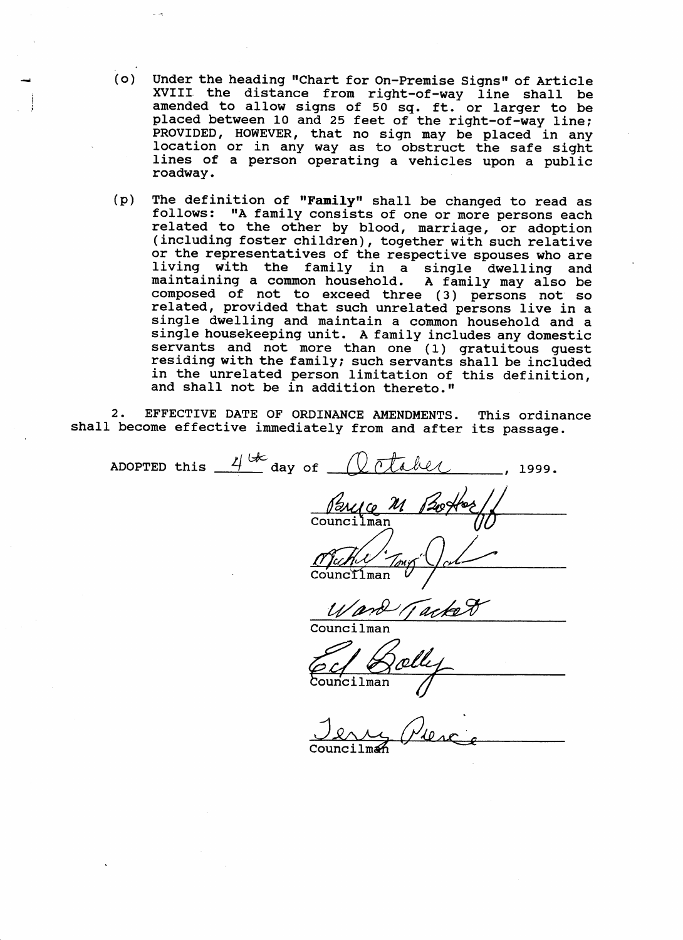- *(0)* Under the heading "Chart for On-Premise Signs" of Article XVIII the distance from right-of-way line shall be amended to allow signs of 50 **sq.** ft, or larger to be placed between 10 and 25 feet of the right-of-way line; PROVIDED, HOWEVER, that no sign may be placed in any location or in any way as to obstruct the safe sight lines of a person operating a vehicles upon a public roadway ,
- (p) The definition of **"Family"** shall be changed to read as follows: "A family consists of one or more persons each related to the other by blood, marriage, or adoption (including foster children), together with such relative or the representatives of the respective spouses who are living with the family in a single dwelling and maintaining a common household, A family may also be composed of not to exceed three **(3)** persons not *so*  related, provided that such unrelated persons live in a single dwelling and maintain a common household and a single housekeeping unit. A family includes any domestic servants and not more than one (1) gratuitous guest residing with the family; such servants shall be included in the unrelated person limitation of this definition, and shall not be in addition thereto."

**2.** EFFECTIVE DATE OF ORDINANCE AMENDMENTS, This ordinance shall become effective immediately from and after its passage,

ADOPTED this  $4^{k}$  day of  $\sqrt{k}$  takes Councilman *Ward Tackett* 

Councilman

lman

Council